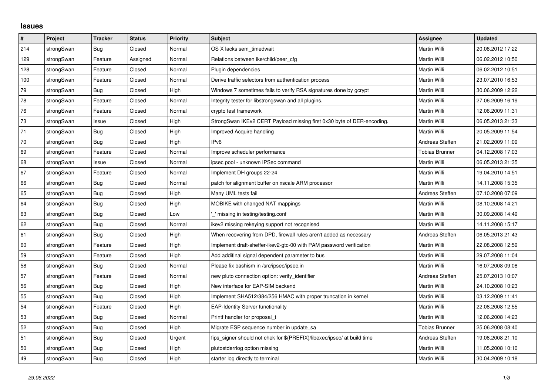## **Issues**

| $\pmb{\#}$ | Project    | <b>Tracker</b> | <b>Status</b> | <b>Priority</b> | <b>Subject</b>                                                          | <b>Assignee</b>       | <b>Updated</b>   |
|------------|------------|----------------|---------------|-----------------|-------------------------------------------------------------------------|-----------------------|------------------|
| 214        | strongSwan | Bug            | Closed        | Normal          | OS X lacks sem timedwait                                                | Martin Willi          | 20.08.2012 17:22 |
| 129        | strongSwan | Feature        | Assigned      | Normal          | Relations between ike/child/peer cfg                                    | Martin Willi          | 06.02.2012 10:50 |
| 128        | strongSwan | Feature        | Closed        | Normal          | Plugin dependencies                                                     | Martin Willi          | 06.02.2012 10:51 |
| 100        | strongSwan | Feature        | Closed        | Normal          | Derive traffic selectors from authentication process                    | Martin Willi          | 23.07.2010 16:53 |
| 79         | strongSwan | Bug            | Closed        | High            | Windows 7 sometimes fails to verify RSA signatures done by gcrypt       | Martin Willi          | 30.06.2009 12:22 |
| ${\bf 78}$ | strongSwan | Feature        | Closed        | Normal          | Integrity tester for libstrongswan and all plugins.                     | Martin Willi          | 27.06.2009 16:19 |
| 76         | strongSwan | Feature        | Closed        | Normal          | crypto test framework                                                   | Martin Willi          | 12.06.2009 11:31 |
| $73\,$     | strongSwan | Issue          | Closed        | High            | StrongSwan IKEv2 CERT Payload missing first 0x30 byte of DER-encoding.  | Martin Willi          | 06.05.2013 21:33 |
| 71         | strongSwan | Bug            | Closed        | High            | Improved Acquire handling                                               | Martin Willi          | 20.05.2009 11:54 |
| $70\,$     | strongSwan | Bug            | Closed        | High            | IP <sub>v6</sub>                                                        | Andreas Steffen       | 21.02.2009 11:09 |
| 69         | strongSwan | Feature        | Closed        | Normal          | Improve scheduler performance                                           | <b>Tobias Brunner</b> | 04.12.2008 17:03 |
| 68         | strongSwan | Issue          | Closed        | Normal          | ipsec pool - unknown IPSec command                                      | Martin Willi          | 06.05.2013 21:35 |
| 67         | strongSwan | Feature        | Closed        | Normal          | Implement DH groups 22-24                                               | Martin Willi          | 19.04.2010 14:51 |
| 66         | strongSwan | Bug            | Closed        | Normal          | patch for alignment buffer on xscale ARM processor                      | Martin Willi          | 14.11.2008 15:35 |
| 65         | strongSwan | Bug            | Closed        | High            | Many UML tests fail                                                     | Andreas Steffen       | 07.10.2008 07:09 |
| 64         | strongSwan | <b>Bug</b>     | Closed        | High            | MOBIKE with changed NAT mappings                                        | Martin Willi          | 08.10.2008 14:21 |
| 63         | strongSwan | Bug            | Closed        | Low             | ' missing in testing/testing.conf                                       | Martin Willi          | 30.09.2008 14:49 |
| 62         | strongSwan | Bug            | Closed        | Normal          | ikev2 missing rekeying support not recognised                           | Martin Willi          | 14.11.2008 15:17 |
| 61         | strongSwan | Bug            | Closed        | High            | When recovering from DPD, firewall rules aren't added as necessary      | Andreas Steffen       | 06.05.2013 21:43 |
| 60         | strongSwan | Feature        | Closed        | High            | Implement draft-sheffer-ikev2-gtc-00 with PAM password verification     | Martin Willi          | 22.08.2008 12:59 |
| 59         | strongSwan | Feature        | Closed        | High            | Add additinal signal dependent parameter to bus                         | Martin Willi          | 29.07.2008 11:04 |
| 58         | strongSwan | Bug            | Closed        | Normal          | Please fix bashism in /src/ipsec/ipsec.in                               | Martin Willi          | 16.07.2008 09:08 |
| 57         | strongSwan | Feature        | Closed        | Normal          | new pluto connection option: verify identifier                          | Andreas Steffen       | 25.07.2013 10:07 |
| 56         | strongSwan | Bug            | Closed        | High            | New interface for EAP-SIM backend                                       | Martin Willi          | 24.10.2008 10:23 |
| 55         | strongSwan | Bug            | Closed        | High            | Implement SHA512/384/256 HMAC with proper truncation in kernel          | Martin Willi          | 03.12.2009 11:41 |
| 54         | strongSwan | Feature        | Closed        | High            | <b>EAP-Identity Server functionality</b>                                | Martin Willi          | 22.08.2008 12:55 |
| 53         | strongSwan | Bug            | Closed        | Normal          | Printf handler for proposal t                                           | Martin Willi          | 12.06.2008 14:23 |
| 52         | strongSwan | Bug            | Closed        | High            | Migrate ESP sequence number in update sa                                | <b>Tobias Brunner</b> | 25.06.2008 08:40 |
| 51         | strongSwan | Bug            | Closed        | Urgent          | fips_signer should not chek for \$(PREFIX)/libexec/ipsec/ at build time | Andreas Steffen       | 19.08.2008 21:10 |
| 50         | strongSwan | Bug            | Closed        | High            | plutostderrlog option missing                                           | Martin Willi          | 11.05.2008 10:10 |
| 49         | strongSwan | <b>Bug</b>     | Closed        | High            | starter log directly to terminal                                        | Martin Willi          | 30.04.2009 10:18 |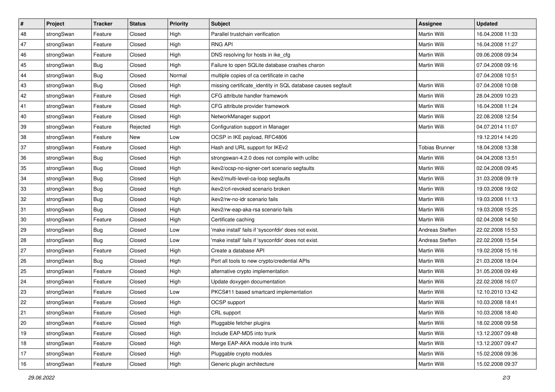| $\vert$ # | Project    | <b>Tracker</b> | <b>Status</b> | Priority | Subject                                                      | Assignee              | <b>Updated</b>   |
|-----------|------------|----------------|---------------|----------|--------------------------------------------------------------|-----------------------|------------------|
| 48        | strongSwan | Feature        | Closed        | High     | Parallel trustchain verification                             | Martin Willi          | 16.04.2008 11:33 |
| 47        | strongSwan | Feature        | Closed        | High     | <b>RNG API</b>                                               | <b>Martin Willi</b>   | 16.04.2008 11:27 |
| 46        | strongSwan | Feature        | Closed        | High     | DNS resolving for hosts in ike cfg                           | Martin Willi          | 09.06.2008 09:34 |
| 45        | strongSwan | Bug            | Closed        | High     | Failure to open SQLite database crashes charon               | <b>Martin Willi</b>   | 07.04.2008 09:16 |
| 44        | strongSwan | Bug            | Closed        | Normal   | multiple copies of ca certificate in cache                   |                       | 07.04.2008 10:51 |
| 43        | strongSwan | <b>Bug</b>     | Closed        | High     | missing certificate_identity in SQL database causes segfault | Martin Willi          | 07.04.2008 10:08 |
| 42        | strongSwan | Feature        | Closed        | High     | CFG attribute handler framework                              | <b>Martin Willi</b>   | 28.04.2009 10:23 |
| 41        | strongSwan | Feature        | Closed        | High     | CFG attribute provider framework                             | Martin Willi          | 16.04.2008 11:24 |
| 40        | strongSwan | Feature        | Closed        | High     | NetworkManager support                                       | Martin Willi          | 22.08.2008 12:54 |
| 39        | strongSwan | Feature        | Rejected      | High     | Configuration support in Manager                             | <b>Martin Willi</b>   | 04.07.2014 11:07 |
| 38        | strongSwan | Feature        | New           | Low      | OCSP in IKE payload, RFC4806                                 |                       | 19.12.2014 14:20 |
| 37        | strongSwan | Feature        | Closed        | High     | Hash and URL support for IKEv2                               | <b>Tobias Brunner</b> | 18.04.2008 13:38 |
| 36        | strongSwan | Bug            | Closed        | High     | strongswan-4.2.0 does not compile with uclibc                | Martin Willi          | 04.04.2008 13:51 |
| 35        | strongSwan | Bug            | Closed        | High     | ikev2/ocsp-no-signer-cert scenario segfaults                 | Martin Willi          | 02.04.2008 09:45 |
| 34        | strongSwan | Bug            | Closed        | High     | ikev2/multi-level-ca-loop segfaults                          | Martin Willi          | 31.03.2008 09:19 |
| 33        | strongSwan | <b>Bug</b>     | Closed        | High     | ikev2/crl-revoked scenario broken                            | Martin Willi          | 19.03.2008 19:02 |
| 32        | strongSwan | Bug            | Closed        | High     | ikev2/rw-no-idr scenario fails                               | Martin Willi          | 19.03.2008 11:13 |
| 31        | strongSwan | Bug            | Closed        | High     | ikev2/rw-eap-aka-rsa scenario fails                          | Martin Willi          | 19.03.2008 15:25 |
| 30        | strongSwan | Feature        | Closed        | High     | Certificate caching                                          | Martin Willi          | 02.04.2008 14:50 |
| 29        | strongSwan | <b>Bug</b>     | Closed        | Low      | 'make install' fails if 'sysconfdir' does not exist.         | Andreas Steffen       | 22.02.2008 15:53 |
| 28        | strongSwan | Bug            | Closed        | Low      | 'make install' fails if 'sysconfdir' does not exist.         | Andreas Steffen       | 22.02.2008 15:54 |
| 27        | strongSwan | Feature        | Closed        | High     | Create a database API                                        | Martin Willi          | 19.02.2008 15:16 |
| 26        | strongSwan | Bug            | Closed        | High     | Port all tools to new crypto/credential APIs                 | Martin Willi          | 21.03.2008 18:04 |
| 25        | strongSwan | Feature        | Closed        | High     | alternative crypto implementation                            | Martin Willi          | 31.05.2008 09:49 |
| 24        | strongSwan | Feature        | Closed        | High     | Update doxygen documentation                                 | Martin Willi          | 22.02.2008 16:07 |
| 23        | strongSwan | Feature        | Closed        | Low      | PKCS#11 based smartcard implementation                       | <b>Martin Willi</b>   | 12.10.2010 13:42 |
| 22        | strongSwan | Feature        | Closed        | High     | OCSP support                                                 | Martin Willi          | 10.03.2008 18:41 |
| 21        | strongSwan | Feature        | Closed        | High     | CRL support                                                  | Martin Willi          | 10.03.2008 18:40 |
| 20        | strongSwan | Feature        | Closed        | High     | Pluggable fetcher plugins                                    | Martin Willi          | 18.02.2008 09:58 |
| 19        | strongSwan | Feature        | Closed        | High     | Include EAP-MD5 into trunk                                   | Martin Willi          | 13.12.2007 09:48 |
| 18        | strongSwan | Feature        | Closed        | High     | Merge EAP-AKA module into trunk                              | Martin Willi          | 13.12.2007 09:47 |
| 17        | strongSwan | Feature        | Closed        | High     | Pluggable crypto modules                                     | Martin Willi          | 15.02.2008 09:36 |
| 16        | strongSwan | Feature        | Closed        | High     | Generic plugin architecture                                  | Martin Willi          | 15.02.2008 09:37 |